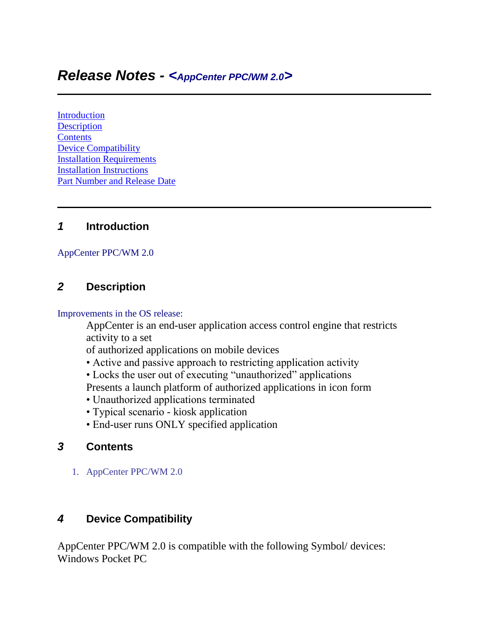# *Release Notes - <AppCenter PPC/WM 2.0>*

[Introduction](https://atgsupportcentral.motorolasolutions.com/content/emb/docs/ReleaseNotes/Release%20Notes_AppCenter%20PPC%202.0%20(Build%201176).htm#Introduction) **[Description](https://atgsupportcentral.motorolasolutions.com/content/emb/docs/ReleaseNotes/Release%20Notes_AppCenter%20PPC%202.0%20(Build%201176).htm#Description) [Contents](https://atgsupportcentral.motorolasolutions.com/content/emb/docs/ReleaseNotes/Release%20Notes_AppCenter%20PPC%202.0%20(Build%201176).htm#Contents)** [Device Compatibility](https://atgsupportcentral.motorolasolutions.com/content/emb/docs/ReleaseNotes/Release%20Notes_AppCenter%20PPC%202.0%20(Build%201176).htm#Compatibility_) [Installation Requirements](https://atgsupportcentral.motorolasolutions.com/content/emb/docs/ReleaseNotes/Release%20Notes_AppCenter%20PPC%202.0%20(Build%201176).htm#Installation_Requirements) [Installation Instructions](https://atgsupportcentral.motorolasolutions.com/content/emb/docs/ReleaseNotes/Release%20Notes_AppCenter%20PPC%202.0%20(Build%201176).htm#Installation_Instructions) [Part Number and Release Date](https://atgsupportcentral.motorolasolutions.com/content/emb/docs/ReleaseNotes/Release%20Notes_AppCenter%20PPC%202.0%20(Build%201176).htm#Document_Number_/_Revision_/_Release_Date_)

#### *1* **Introduction**

#### AppCenter PPC/WM 2.0

## *2* **Description**

Improvements in the OS release:

AppCenter is an end-user application access control engine that restricts activity to a set

of authorized applications on mobile devices

- Active and passive approach to restricting application activity
- Locks the user out of executing "unauthorized" applications

Presents a launch platform of authorized applications in icon form

- Unauthorized applications terminated
- Typical scenario kiosk application
- End-user runs ONLY specified application

## *3* **Contents**

1. AppCenter PPC/WM 2.0

## *4* **Device Compatibility**

AppCenter PPC/WM 2.0 is compatible with the following Symbol/ devices: Windows Pocket PC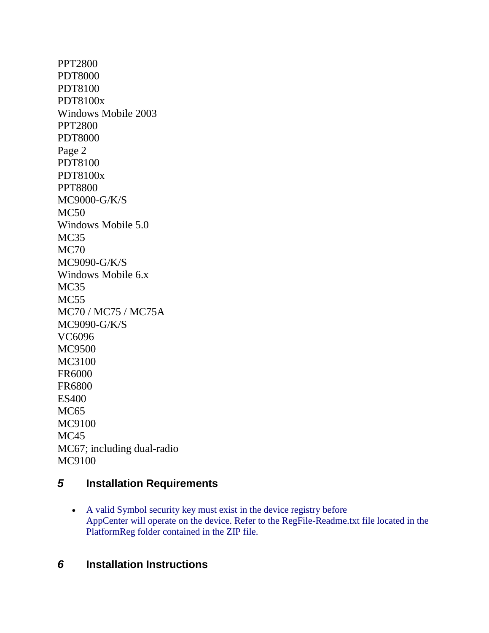PPT2800 PDT8000 PDT8100 PDT8100x Windows Mobile 2003 PPT2800 PDT8000 Page 2 PDT8100 PDT8100x PPT8800 MC9000-G/K/S MC50 Windows Mobile 5.0 MC35 MC70 MC9090-G/K/S Windows Mobile 6.x MC35 MC55 MC70 / MC75 / MC75A MC9090-G/K/S VC6096 MC9500 MC3100 FR6000 FR6800 ES400 MC<sub>65</sub> MC9100 M<sub>C</sub>45 MC67; including dual-radio MC9100

## *5* **Installation Requirements**

 A valid Symbol security key must exist in the device registry before AppCenter will operate on the device. Refer to the RegFile-Readme.txt file located in the PlatformReg folder contained in the ZIP file.

## *6* **Installation Instructions**